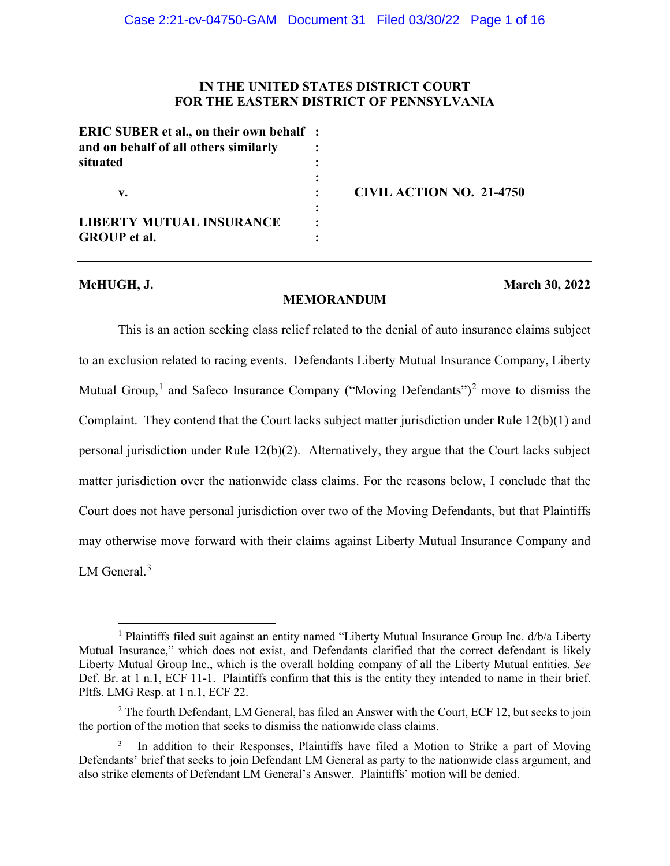## **IN THE UNITED STATES DISTRICT COURT FOR THE EASTERN DISTRICT OF PENNSYLVANIA**

| <b>ERIC SUBER et al., on their own behalf</b> :<br>and on behalf of all others similarly<br>situated |                                 |
|------------------------------------------------------------------------------------------------------|---------------------------------|
| v.                                                                                                   | <b>CIVIL ACTION NO. 21-4750</b> |
| <b>LIBERTY MUTUAL INSURANCE</b><br><b>GROUP</b> et al.                                               |                                 |

## **McHUGH, J. March 30, 2022**

# **MEMORANDUM**

This is an action seeking class relief related to the denial of auto insurance claims subject to an exclusion related to racing events. Defendants Liberty Mutual Insurance Company, Liberty Mutual Group,<sup>1</sup> and Safeco Insurance Company ("Moving Defendants")<sup>2</sup> move to dismiss the Complaint. They contend that the Court lacks subject matter jurisdiction under Rule 12(b)(1) and personal jurisdiction under Rule 12(b)(2). Alternatively, they argue that the Court lacks subject matter jurisdiction over the nationwide class claims. For the reasons below, I conclude that the Court does not have personal jurisdiction over two of the Moving Defendants, but that Plaintiffs may otherwise move forward with their claims against Liberty Mutual Insurance Company and LM General.<sup>3</sup>

<sup>&</sup>lt;sup>1</sup> Plaintiffs filed suit against an entity named "Liberty Mutual Insurance Group Inc. d/b/a Liberty Mutual Insurance," which does not exist, and Defendants clarified that the correct defendant is likely Liberty Mutual Group Inc., which is the overall holding company of all the Liberty Mutual entities. *See*  Def. Br. at 1 n.1, ECF 11-1. Plaintiffs confirm that this is the entity they intended to name in their brief. Pltfs. LMG Resp. at 1 n.1, ECF 22.

 $2$  The fourth Defendant, LM General, has filed an Answer with the Court, ECF 12, but seeks to join the portion of the motion that seeks to dismiss the nationwide class claims.

<sup>3</sup> In addition to their Responses, Plaintiffs have filed a Motion to Strike a part of Moving Defendants' brief that seeks to join Defendant LM General as party to the nationwide class argument, and also strike elements of Defendant LM General's Answer. Plaintiffs' motion will be denied.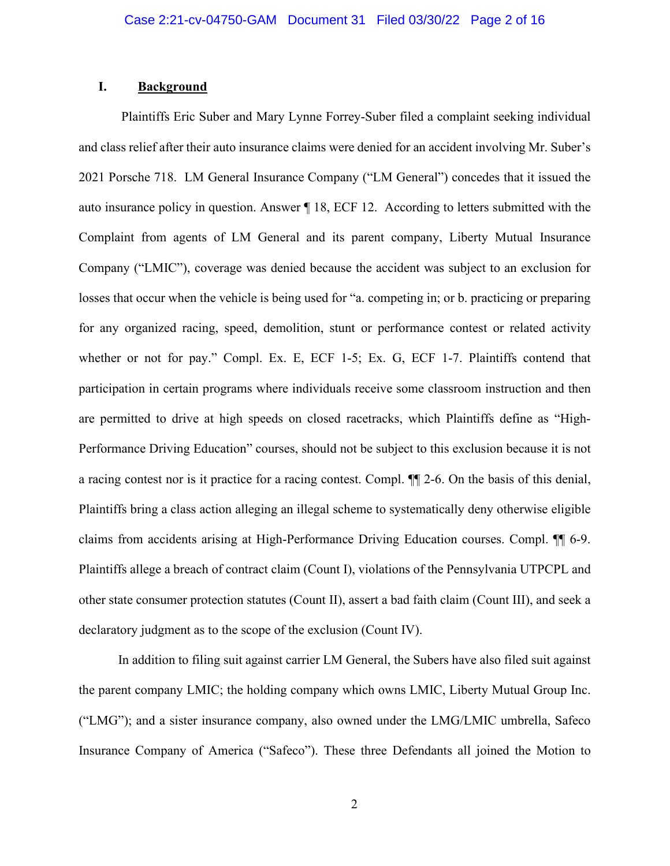### **I. Background**

Plaintiffs Eric Suber and Mary Lynne Forrey-Suber filed a complaint seeking individual and class relief after their auto insurance claims were denied for an accident involving Mr. Suber's 2021 Porsche 718. LM General Insurance Company ("LM General") concedes that it issued the auto insurance policy in question. Answer ¶ 18, ECF 12. According to letters submitted with the Complaint from agents of LM General and its parent company, Liberty Mutual Insurance Company ("LMIC"), coverage was denied because the accident was subject to an exclusion for losses that occur when the vehicle is being used for "a. competing in; or b. practicing or preparing for any organized racing, speed, demolition, stunt or performance contest or related activity whether or not for pay." Compl. Ex. E, ECF 1-5; Ex. G, ECF 1-7. Plaintiffs contend that participation in certain programs where individuals receive some classroom instruction and then are permitted to drive at high speeds on closed racetracks, which Plaintiffs define as "High-Performance Driving Education" courses, should not be subject to this exclusion because it is not a racing contest nor is it practice for a racing contest. Compl. ¶¶ 2-6. On the basis of this denial, Plaintiffs bring a class action alleging an illegal scheme to systematically deny otherwise eligible claims from accidents arising at High-Performance Driving Education courses. Compl. ¶¶ 6-9. Plaintiffs allege a breach of contract claim (Count I), violations of the Pennsylvania UTPCPL and other state consumer protection statutes (Count II), assert a bad faith claim (Count III), and seek a declaratory judgment as to the scope of the exclusion (Count IV).

In addition to filing suit against carrier LM General, the Subers have also filed suit against the parent company LMIC; the holding company which owns LMIC, Liberty Mutual Group Inc. ("LMG"); and a sister insurance company, also owned under the LMG/LMIC umbrella, Safeco Insurance Company of America ("Safeco"). These three Defendants all joined the Motion to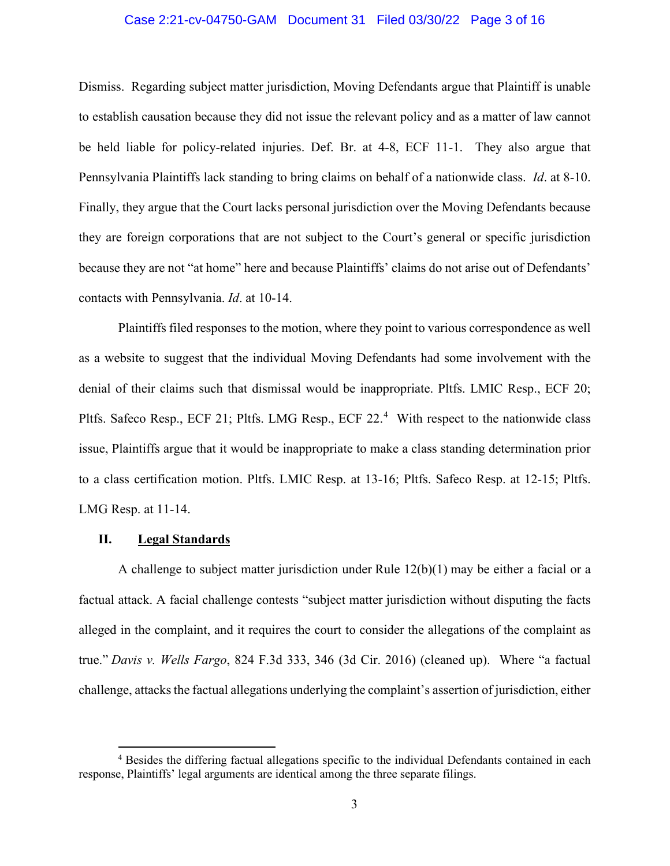### Case 2:21-cv-04750-GAM Document 31 Filed 03/30/22 Page 3 of 16

Dismiss. Regarding subject matter jurisdiction, Moving Defendants argue that Plaintiff is unable to establish causation because they did not issue the relevant policy and as a matter of law cannot be held liable for policy-related injuries. Def. Br. at 4-8, ECF 11-1. They also argue that Pennsylvania Plaintiffs lack standing to bring claims on behalf of a nationwide class. *Id*. at 8-10. Finally, they argue that the Court lacks personal jurisdiction over the Moving Defendants because they are foreign corporations that are not subject to the Court's general or specific jurisdiction because they are not "at home" here and because Plaintiffs' claims do not arise out of Defendants' contacts with Pennsylvania. *Id*. at 10-14.

Plaintiffs filed responses to the motion, where they point to various correspondence as well as a website to suggest that the individual Moving Defendants had some involvement with the denial of their claims such that dismissal would be inappropriate. Pltfs. LMIC Resp., ECF 20; Pltfs. Safeco Resp., ECF 21; Pltfs. LMG Resp., ECF 22.<sup>4</sup> With respect to the nationwide class issue, Plaintiffs argue that it would be inappropriate to make a class standing determination prior to a class certification motion. Pltfs. LMIC Resp. at 13-16; Pltfs. Safeco Resp. at 12-15; Pltfs. LMG Resp. at 11-14.

### **II. Legal Standards**

A challenge to subject matter jurisdiction under Rule  $12(b)(1)$  may be either a facial or a factual attack. A facial challenge contests "subject matter jurisdiction without disputing the facts alleged in the complaint, and it requires the court to consider the allegations of the complaint as true." *Davis v. Wells Fargo*, 824 F.3d 333, 346 (3d Cir. 2016) (cleaned up). Where "a factual challenge, attacks the factual allegations underlying the complaint's assertion of jurisdiction, either

<sup>&</sup>lt;sup>4</sup> Besides the differing factual allegations specific to the individual Defendants contained in each response, Plaintiffs' legal arguments are identical among the three separate filings.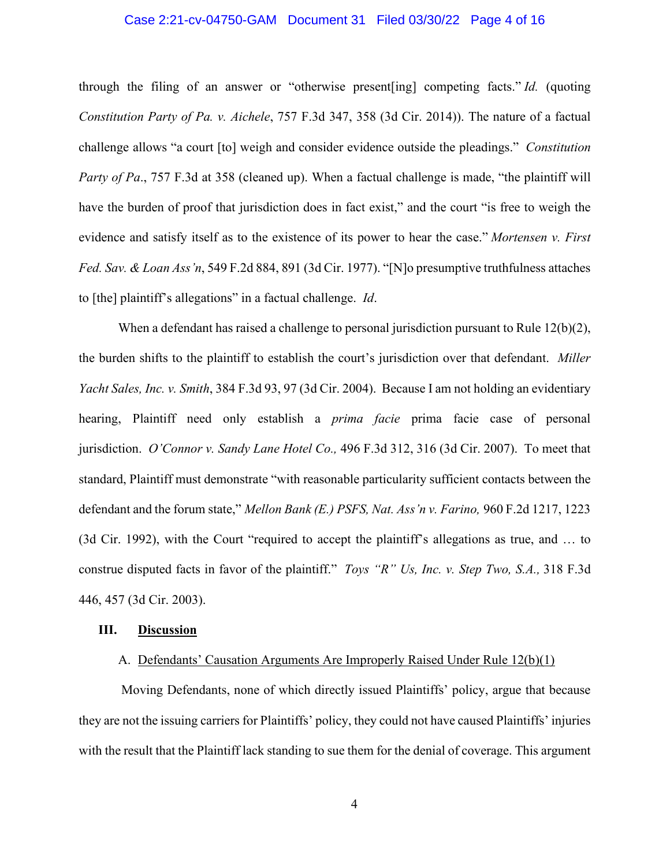#### Case 2:21-cv-04750-GAM Document 31 Filed 03/30/22 Page 4 of 16

through the filing of an answer or "otherwise present[ing] competing facts." *Id.* (quoting *Constitution Party of Pa. v. Aichele*, 757 F.3d 347, 358 (3d Cir. 2014)). The nature of a factual challenge allows "a court [to] weigh and consider evidence outside the pleadings." *Constitution Party of Pa.*, 757 F.3d at 358 (cleaned up). When a factual challenge is made, "the plaintiff will have the burden of proof that jurisdiction does in fact exist," and the court "is free to weigh the evidence and satisfy itself as to the existence of its power to hear the case." *Mortensen v. First Fed. Sav. & Loan Ass'n*, 549 F.2d 884, 891 (3d Cir. 1977). "[N]o presumptive truthfulness attaches to [the] plaintiff's allegations" in a factual challenge. *Id*.

When a defendant has raised a challenge to personal jurisdiction pursuant to Rule 12(b)(2), the burden shifts to the plaintiff to establish the court's jurisdiction over that defendant. *Miller Yacht Sales, Inc. v. Smith*, 384 F.3d 93, 97 (3d Cir. 2004). Because I am not holding an evidentiary hearing, Plaintiff need only establish a *prima facie* prima facie case of personal jurisdiction. *O'Connor v. Sandy Lane Hotel Co.,* 496 F.3d 312, 316 (3d Cir. 2007). To meet that standard, Plaintiff must demonstrate "with reasonable particularity sufficient contacts between the defendant and the forum state," *Mellon Bank (E.) PSFS, Nat. Ass'n v. Farino,* 960 F.2d 1217, 1223 (3d Cir. 1992), with the Court "required to accept the plaintiff's allegations as true, and … to construe disputed facts in favor of the plaintiff." *Toys "R" Us, Inc. v. Step Two, S.A.,* 318 F.3d 446, 457 (3d Cir. 2003).

## **III. Discussion**

## A. Defendants' Causation Arguments Are Improperly Raised Under Rule 12(b)(1)

Moving Defendants, none of which directly issued Plaintiffs' policy, argue that because they are not the issuing carriers for Plaintiffs' policy, they could not have caused Plaintiffs' injuries with the result that the Plaintiff lack standing to sue them for the denial of coverage. This argument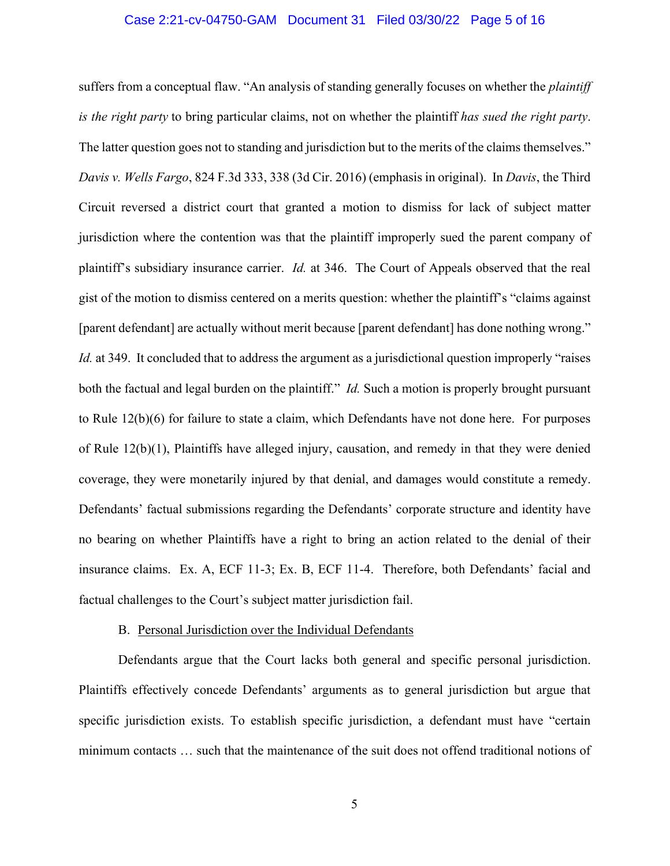#### Case 2:21-cv-04750-GAM Document 31 Filed 03/30/22 Page 5 of 16

suffers from a conceptual flaw. "An analysis of standing generally focuses on whether the *plaintiff is the right party* to bring particular claims, not on whether the plaintiff *has sued the right party*. The latter question goes not to standing and jurisdiction but to the merits of the claims themselves." *Davis v. Wells Fargo*, 824 F.3d 333, 338 (3d Cir. 2016) (emphasis in original). In *Davis*, the Third Circuit reversed a district court that granted a motion to dismiss for lack of subject matter jurisdiction where the contention was that the plaintiff improperly sued the parent company of plaintiff's subsidiary insurance carrier. *Id.* at 346. The Court of Appeals observed that the real gist of the motion to dismiss centered on a merits question: whether the plaintiff's "claims against [parent defendant] are actually without merit because [parent defendant] has done nothing wrong." *Id.* at 349. It concluded that to address the argument as a jurisdictional question improperly "raises" both the factual and legal burden on the plaintiff." *Id.* Such a motion is properly brought pursuant to Rule 12(b)(6) for failure to state a claim, which Defendants have not done here. For purposes of Rule 12(b)(1), Plaintiffs have alleged injury, causation, and remedy in that they were denied coverage, they were monetarily injured by that denial, and damages would constitute a remedy. Defendants' factual submissions regarding the Defendants' corporate structure and identity have no bearing on whether Plaintiffs have a right to bring an action related to the denial of their insurance claims. Ex. A, ECF 11-3; Ex. B, ECF 11-4. Therefore, both Defendants' facial and factual challenges to the Court's subject matter jurisdiction fail.

#### B. Personal Jurisdiction over the Individual Defendants

Defendants argue that the Court lacks both general and specific personal jurisdiction. Plaintiffs effectively concede Defendants' arguments as to general jurisdiction but argue that specific jurisdiction exists. To establish specific jurisdiction, a defendant must have "certain minimum contacts … such that the maintenance of the suit does not offend traditional notions of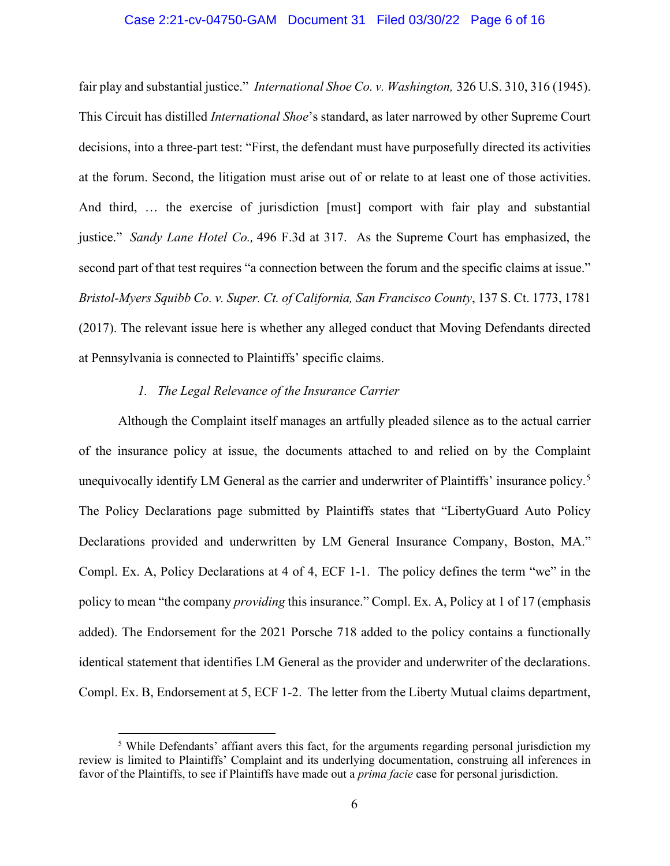#### Case 2:21-cv-04750-GAM Document 31 Filed 03/30/22 Page 6 of 16

fair play and substantial justice." *International Shoe Co. v. Washington,* 326 U.S. 310, 316 (1945). This Circuit has distilled *International Shoe*'s standard, as later narrowed by other Supreme Court decisions, into a three-part test: "First, the defendant must have purposefully directed its activities at the forum. Second, the litigation must arise out of or relate to at least one of those activities. And third, … the exercise of jurisdiction [must] comport with fair play and substantial justice." *Sandy Lane Hotel Co.,* 496 F.3d at 317. As the Supreme Court has emphasized, the second part of that test requires "a connection between the forum and the specific claims at issue." *Bristol-Myers Squibb Co. v. Super. Ct. of California, San Francisco County*, 137 S. Ct. 1773, 1781 (2017). The relevant issue here is whether any alleged conduct that Moving Defendants directed at Pennsylvania is connected to Plaintiffs' specific claims.

## *1. The Legal Relevance of the Insurance Carrier*

Although the Complaint itself manages an artfully pleaded silence as to the actual carrier of the insurance policy at issue, the documents attached to and relied on by the Complaint unequivocally identify LM General as the carrier and underwriter of Plaintiffs' insurance policy.<sup>5</sup> The Policy Declarations page submitted by Plaintiffs states that "LibertyGuard Auto Policy Declarations provided and underwritten by LM General Insurance Company, Boston, MA." Compl. Ex. A, Policy Declarations at 4 of 4, ECF 1-1. The policy defines the term "we" in the policy to mean "the company *providing* this insurance." Compl. Ex. A, Policy at 1 of 17 (emphasis added). The Endorsement for the 2021 Porsche 718 added to the policy contains a functionally identical statement that identifies LM General as the provider and underwriter of the declarations. Compl. Ex. B, Endorsement at 5, ECF 1-2. The letter from the Liberty Mutual claims department,

<sup>&</sup>lt;sup>5</sup> While Defendants' affiant avers this fact, for the arguments regarding personal jurisdiction my review is limited to Plaintiffs' Complaint and its underlying documentation, construing all inferences in favor of the Plaintiffs, to see if Plaintiffs have made out a *prima facie* case for personal jurisdiction.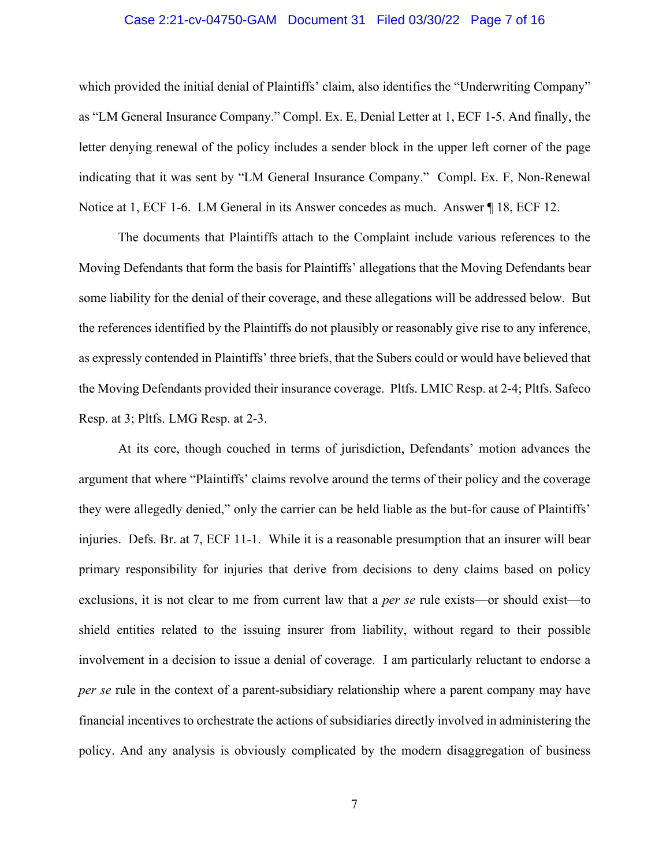#### Case 2:21-cv-04750-GAM Document 31 Filed 03/30/22 Page 7 of 16

which provided the initial denial of Plaintiffs' claim, also identifies the "Underwriting Company" as "LM General Insurance Company." Compl. Ex. E, Denial Letter at 1, ECF 1-5. And finally, the letter denying renewal of the policy includes a sender block in the upper left corner of the page indicating that it was sent by "LM General Insurance Company." Compl. Ex. F, Non-Renewal Notice at 1, ECF 1-6. LM General in its Answer concedes as much. Answer 18, ECF 12.

The documents that Plaintiffs attach to the Complaint include various references to the Moving Defendants that form the basis for Plaintiffs' allegations that the Moving Defendants bear some liability for the denial of their coverage, and these allegations will be addressed below. But the references identified by the Plaintiffs do not plausibly or reasonably give rise to any inference, as expressly contended in Plaintiffs' three briefs, that the Subers could or would have believed that the Moving Defendants provided their insurance coverage. Pltfs. LMIC Resp. at 2-4; Pltfs. Safeco Resp. at 3; Pltfs. LMG Resp. at 2-3.

At its core, though couched in terms of jurisdiction, Defendants' motion advances the argument that where "Plaintiffs' claims revolve around the terms of their policy and the coverage they were allegedly denied," only the carrier can be held liable as the but-for cause of Plaintiffs' injuries. Defs. Br. at 7, ECF 11-1. While it is a reasonable presumption that an insurer will bear primary responsibility for injuries that derive from decisions to deny claims based on policy exclusions, it is not clear to me from current law that a *per se* rule exists—or should exist—to shield entities related to the issuing insurer from liability, without regard to their possible involvement in a decision to issue a denial of coverage. I am particularly reluctant to endorse a *per se* rule in the context of a parent-subsidiary relationship where a parent company may have financial incentives to orchestrate the actions of subsidiaries directly involved in administering the policy. And any analysis is obviously complicated by the modern disaggregation of business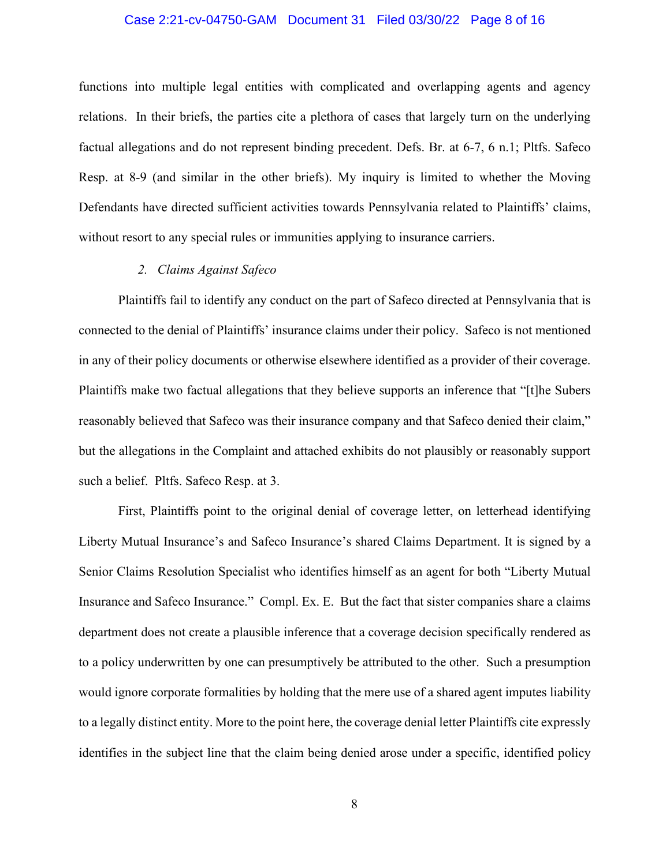### Case 2:21-cv-04750-GAM Document 31 Filed 03/30/22 Page 8 of 16

functions into multiple legal entities with complicated and overlapping agents and agency relations. In their briefs, the parties cite a plethora of cases that largely turn on the underlying factual allegations and do not represent binding precedent. Defs. Br. at 6-7, 6 n.1; Pltfs. Safeco Resp. at 8-9 (and similar in the other briefs). My inquiry is limited to whether the Moving Defendants have directed sufficient activities towards Pennsylvania related to Plaintiffs' claims, without resort to any special rules or immunities applying to insurance carriers.

#### *2. Claims Against Safeco*

Plaintiffs fail to identify any conduct on the part of Safeco directed at Pennsylvania that is connected to the denial of Plaintiffs' insurance claims under their policy. Safeco is not mentioned in any of their policy documents or otherwise elsewhere identified as a provider of their coverage. Plaintiffs make two factual allegations that they believe supports an inference that "[t]he Subers reasonably believed that Safeco was their insurance company and that Safeco denied their claim," but the allegations in the Complaint and attached exhibits do not plausibly or reasonably support such a belief. Pltfs. Safeco Resp. at 3.

First, Plaintiffs point to the original denial of coverage letter, on letterhead identifying Liberty Mutual Insurance's and Safeco Insurance's shared Claims Department. It is signed by a Senior Claims Resolution Specialist who identifies himself as an agent for both "Liberty Mutual Insurance and Safeco Insurance." Compl. Ex. E. But the fact that sister companies share a claims department does not create a plausible inference that a coverage decision specifically rendered as to a policy underwritten by one can presumptively be attributed to the other. Such a presumption would ignore corporate formalities by holding that the mere use of a shared agent imputes liability to a legally distinct entity. More to the point here, the coverage denial letter Plaintiffs cite expressly identifies in the subject line that the claim being denied arose under a specific, identified policy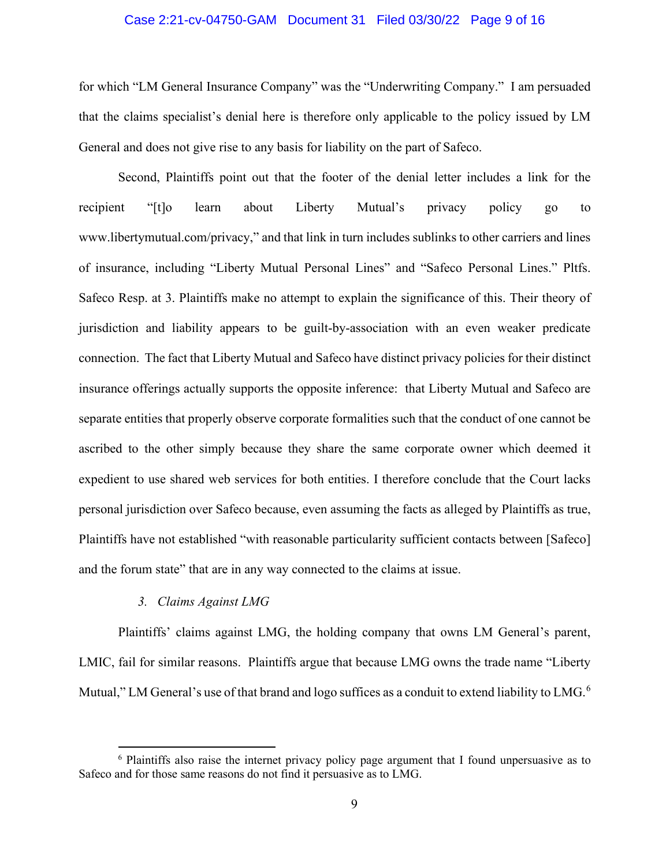#### Case 2:21-cv-04750-GAM Document 31 Filed 03/30/22 Page 9 of 16

for which "LM General Insurance Company" was the "Underwriting Company." I am persuaded that the claims specialist's denial here is therefore only applicable to the policy issued by LM General and does not give rise to any basis for liability on the part of Safeco.

Second, Plaintiffs point out that the footer of the denial letter includes a link for the recipient "[t]o learn about Liberty Mutual's privacy policy go to www.libertymutual.com/privacy," and that link in turn includes sublinks to other carriers and lines of insurance, including "Liberty Mutual Personal Lines" and "Safeco Personal Lines." Pltfs. Safeco Resp. at 3. Plaintiffs make no attempt to explain the significance of this. Their theory of jurisdiction and liability appears to be guilt-by-association with an even weaker predicate connection. The fact that Liberty Mutual and Safeco have distinct privacy policies for their distinct insurance offerings actually supports the opposite inference: that Liberty Mutual and Safeco are separate entities that properly observe corporate formalities such that the conduct of one cannot be ascribed to the other simply because they share the same corporate owner which deemed it expedient to use shared web services for both entities. I therefore conclude that the Court lacks personal jurisdiction over Safeco because, even assuming the facts as alleged by Plaintiffs as true, Plaintiffs have not established "with reasonable particularity sufficient contacts between [Safeco] and the forum state" that are in any way connected to the claims at issue.

# *3. Claims Against LMG*

Plaintiffs' claims against LMG, the holding company that owns LM General's parent, LMIC, fail for similar reasons. Plaintiffs argue that because LMG owns the trade name "Liberty Mutual," LM General's use of that brand and logo suffices as a conduit to extend liability to LMG.<sup>6</sup>

 $6$  Plaintiffs also raise the internet privacy policy page argument that I found unpersuasive as to Safeco and for those same reasons do not find it persuasive as to LMG.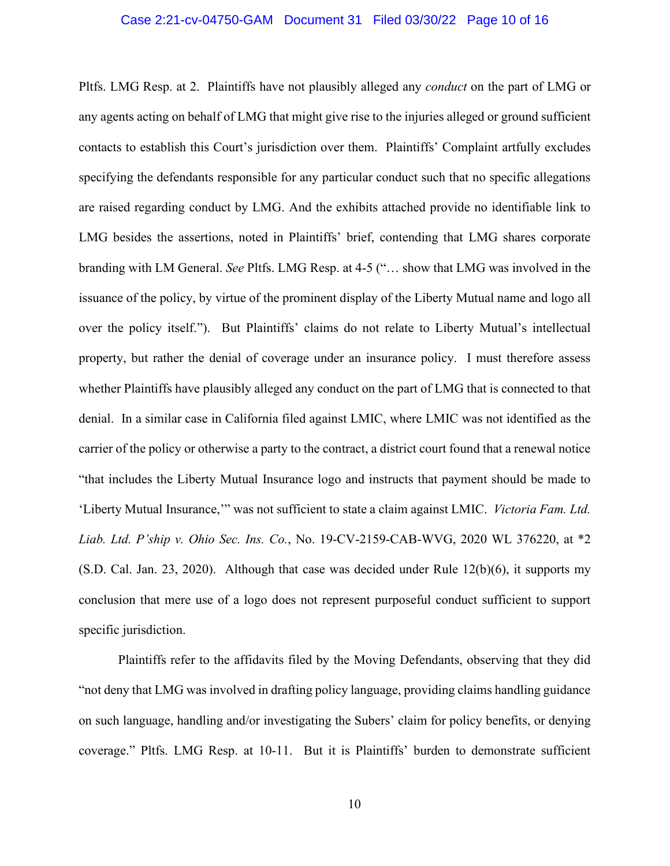#### Case 2:21-cv-04750-GAM Document 31 Filed 03/30/22 Page 10 of 16

Pltfs. LMG Resp. at 2. Plaintiffs have not plausibly alleged any *conduct* on the part of LMG or any agents acting on behalf of LMG that might give rise to the injuries alleged or ground sufficient contacts to establish this Court's jurisdiction over them. Plaintiffs' Complaint artfully excludes specifying the defendants responsible for any particular conduct such that no specific allegations are raised regarding conduct by LMG. And the exhibits attached provide no identifiable link to LMG besides the assertions, noted in Plaintiffs' brief, contending that LMG shares corporate branding with LM General. *See* Pltfs. LMG Resp. at 4-5 ("… show that LMG was involved in the issuance of the policy, by virtue of the prominent display of the Liberty Mutual name and logo all over the policy itself."). But Plaintiffs' claims do not relate to Liberty Mutual's intellectual property, but rather the denial of coverage under an insurance policy. I must therefore assess whether Plaintiffs have plausibly alleged any conduct on the part of LMG that is connected to that denial. In a similar case in California filed against LMIC, where LMIC was not identified as the carrier of the policy or otherwise a party to the contract, a district court found that a renewal notice "that includes the Liberty Mutual Insurance logo and instructs that payment should be made to 'Liberty Mutual Insurance,'" was not sufficient to state a claim against LMIC. *Victoria Fam. Ltd. Liab. Ltd. P'ship v. Ohio Sec. Ins. Co.*, No. 19-CV-2159-CAB-WVG, 2020 WL 376220, at \*2  $(S.D. Cal. Jan. 23, 2020)$ . Although that case was decided under Rule  $12(b)(6)$ , it supports my conclusion that mere use of a logo does not represent purposeful conduct sufficient to support specific jurisdiction.

Plaintiffs refer to the affidavits filed by the Moving Defendants, observing that they did "not deny that LMG was involved in drafting policy language, providing claims handling guidance on such language, handling and/or investigating the Subers' claim for policy benefits, or denying coverage." Pltfs. LMG Resp. at 10-11. But it is Plaintiffs' burden to demonstrate sufficient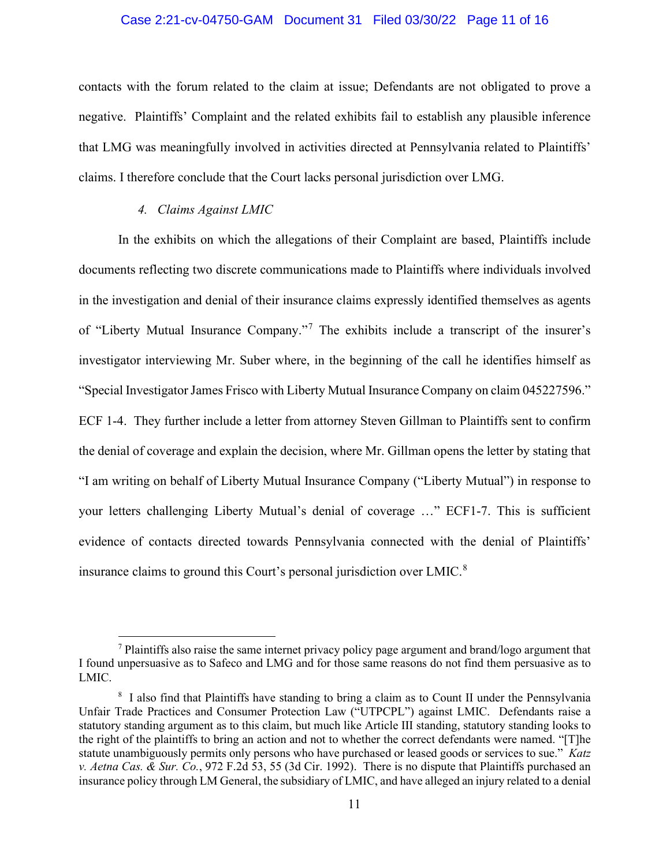#### Case 2:21-cv-04750-GAM Document 31 Filed 03/30/22 Page 11 of 16

contacts with the forum related to the claim at issue; Defendants are not obligated to prove a negative. Plaintiffs' Complaint and the related exhibits fail to establish any plausible inference that LMG was meaningfully involved in activities directed at Pennsylvania related to Plaintiffs' claims. I therefore conclude that the Court lacks personal jurisdiction over LMG.

### *4. Claims Against LMIC*

In the exhibits on which the allegations of their Complaint are based, Plaintiffs include documents reflecting two discrete communications made to Plaintiffs where individuals involved in the investigation and denial of their insurance claims expressly identified themselves as agents of "Liberty Mutual Insurance Company."<sup>7</sup> The exhibits include a transcript of the insurer's investigator interviewing Mr. Suber where, in the beginning of the call he identifies himself as "Special Investigator James Frisco with Liberty Mutual Insurance Company on claim 045227596." ECF 1-4. They further include a letter from attorney Steven Gillman to Plaintiffs sent to confirm the denial of coverage and explain the decision, where Mr. Gillman opens the letter by stating that "I am writing on behalf of Liberty Mutual Insurance Company ("Liberty Mutual") in response to your letters challenging Liberty Mutual's denial of coverage …" ECF1-7. This is sufficient evidence of contacts directed towards Pennsylvania connected with the denial of Plaintiffs' insurance claims to ground this Court's personal jurisdiction over LMIC.<sup>8</sup>

 $<sup>7</sup>$  Plaintiffs also raise the same internet privacy policy page argument and brand/logo argument that</sup> I found unpersuasive as to Safeco and LMG and for those same reasons do not find them persuasive as to LMIC.

<sup>&</sup>lt;sup>8</sup> I also find that Plaintiffs have standing to bring a claim as to Count II under the Pennsylvania Unfair Trade Practices and Consumer Protection Law ("UTPCPL") against LMIC. Defendants raise a statutory standing argument as to this claim, but much like Article III standing, statutory standing looks to the right of the plaintiffs to bring an action and not to whether the correct defendants were named. "[T]he statute unambiguously permits only persons who have purchased or leased goods or services to sue." *Katz v. Aetna Cas. & Sur. Co.*, 972 F.2d 53, 55 (3d Cir. 1992). There is no dispute that Plaintiffs purchased an insurance policy through LM General, the subsidiary of LMIC, and have alleged an injury related to a denial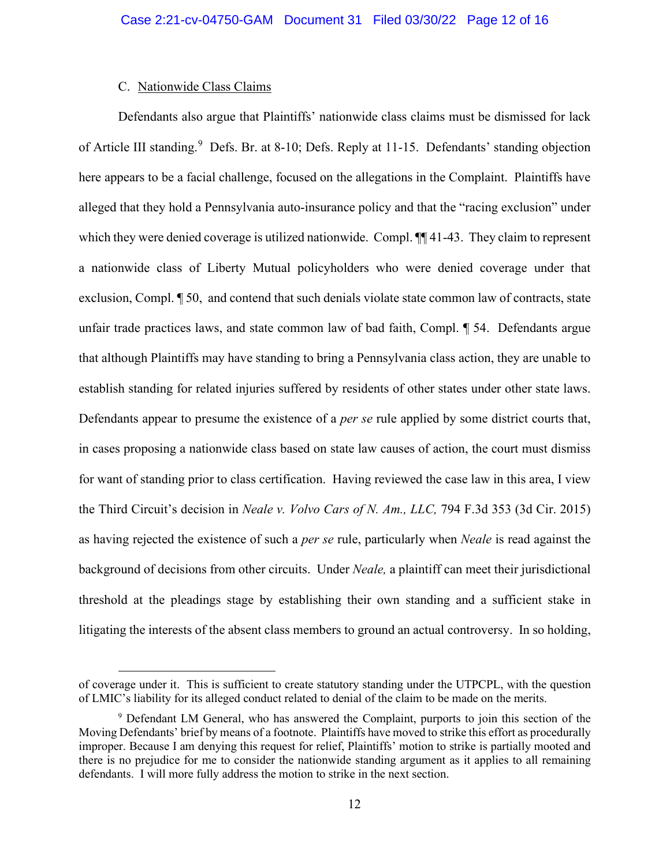## C. Nationwide Class Claims

Defendants also argue that Plaintiffs' nationwide class claims must be dismissed for lack of Article III standing.<sup>9</sup> Defs. Br. at 8-10; Defs. Reply at 11-15. Defendants' standing objection here appears to be a facial challenge, focused on the allegations in the Complaint. Plaintiffs have alleged that they hold a Pennsylvania auto-insurance policy and that the "racing exclusion" under which they were denied coverage is utilized nationwide. Compl.  $\P$  41-43. They claim to represent a nationwide class of Liberty Mutual policyholders who were denied coverage under that exclusion, Compl. ¶ 50, and contend that such denials violate state common law of contracts, state unfair trade practices laws, and state common law of bad faith, Compl. ¶ 54. Defendants argue that although Plaintiffs may have standing to bring a Pennsylvania class action, they are unable to establish standing for related injuries suffered by residents of other states under other state laws. Defendants appear to presume the existence of a *per se* rule applied by some district courts that, in cases proposing a nationwide class based on state law causes of action, the court must dismiss for want of standing prior to class certification. Having reviewed the case law in this area, I view the Third Circuit's decision in *Neale v. Volvo Cars of N. Am., LLC,* 794 F.3d 353 (3d Cir. 2015) as having rejected the existence of such a *per se* rule, particularly when *Neale* is read against the background of decisions from other circuits. Under *Neale,* a plaintiff can meet their jurisdictional threshold at the pleadings stage by establishing their own standing and a sufficient stake in litigating the interests of the absent class members to ground an actual controversy. In so holding,

of coverage under it. This is sufficient to create statutory standing under the UTPCPL, with the question of LMIC's liability for its alleged conduct related to denial of the claim to be made on the merits.

<sup>9</sup> Defendant LM General, who has answered the Complaint, purports to join this section of the Moving Defendants' brief by means of a footnote. Plaintiffs have moved to strike this effort as procedurally improper. Because I am denying this request for relief, Plaintiffs' motion to strike is partially mooted and there is no prejudice for me to consider the nationwide standing argument as it applies to all remaining defendants. I will more fully address the motion to strike in the next section.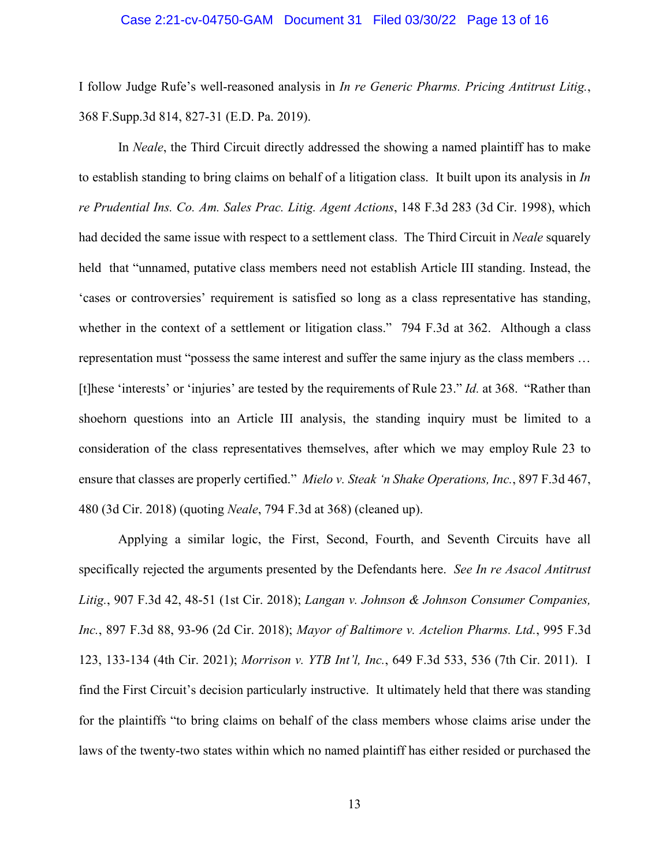#### Case 2:21-cv-04750-GAM Document 31 Filed 03/30/22 Page 13 of 16

I follow Judge Rufe's well-reasoned analysis in *In re Generic Pharms. Pricing Antitrust Litig.*, 368 F.Supp.3d 814, 827-31 (E.D. Pa. 2019).

In *Neale*, the Third Circuit directly addressed the showing a named plaintiff has to make to establish standing to bring claims on behalf of a litigation class. It built upon its analysis in *In re Prudential Ins. Co. Am. Sales Prac. Litig. Agent Actions*, 148 F.3d 283 (3d Cir. 1998), which had decided the same issue with respect to a settlement class. The Third Circuit in *Neale* squarely held that "unnamed, putative class members need not establish Article III standing. Instead, the 'cases or controversies' requirement is satisfied so long as a class representative has standing, whether in the context of a settlement or litigation class." 794 F.3d at 362. Although a class representation must "possess the same interest and suffer the same injury as the class members … [t]hese 'interests' or 'injuries' are tested by the requirements of Rule 23." *Id.* at 368. "Rather than shoehorn questions into an Article III analysis, the standing inquiry must be limited to a consideration of the class representatives themselves, after which we may employ Rule 23 to ensure that classes are properly certified." *Mielo v. Steak 'n Shake Operations, Inc.*, 897 F.3d 467, 480 (3d Cir. 2018) (quoting *Neale*, 794 F.3d at 368) (cleaned up).

Applying a similar logic, the First, Second, Fourth, and Seventh Circuits have all specifically rejected the arguments presented by the Defendants here. *See In re Asacol Antitrust Litig.*, 907 F.3d 42, 48-51 (1st Cir. 2018); *Langan v. Johnson & Johnson Consumer Companies, Inc.*, 897 F.3d 88, 93-96 (2d Cir. 2018); *Mayor of Baltimore v. Actelion Pharms. Ltd.*, 995 F.3d 123, 133-134 (4th Cir. 2021); *Morrison v. YTB Int'l, Inc.*, 649 F.3d 533, 536 (7th Cir. 2011). I find the First Circuit's decision particularly instructive. It ultimately held that there was standing for the plaintiffs "to bring claims on behalf of the class members whose claims arise under the laws of the twenty-two states within which no named plaintiff has either resided or purchased the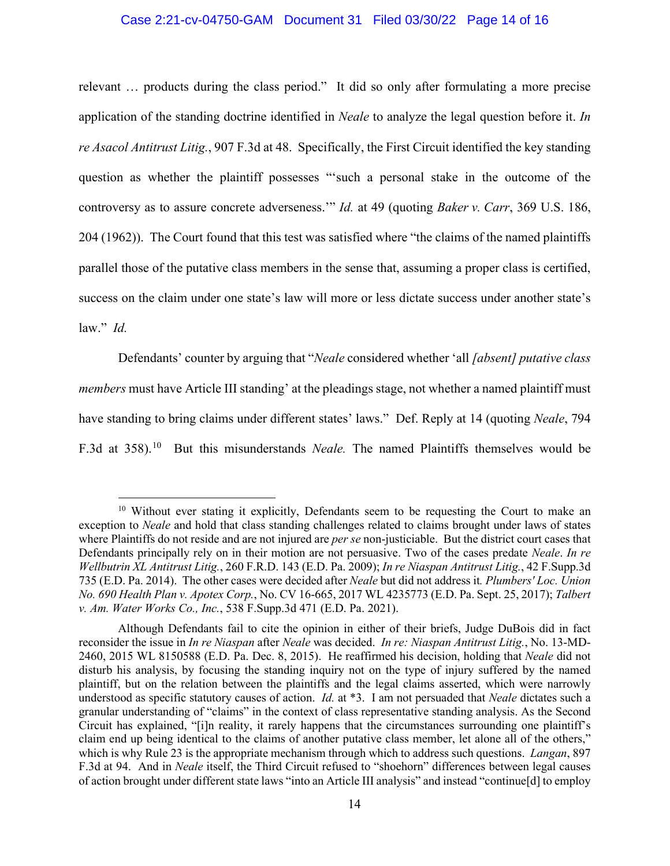### Case 2:21-cv-04750-GAM Document 31 Filed 03/30/22 Page 14 of 16

relevant … products during the class period." It did so only after formulating a more precise application of the standing doctrine identified in *Neale* to analyze the legal question before it. *In re Asacol Antitrust Litig.*, 907 F.3d at 48. Specifically, the First Circuit identified the key standing question as whether the plaintiff possesses "'such a personal stake in the outcome of the controversy as to assure concrete adverseness.'" *Id.* at 49 (quoting *Baker v. Carr*, 369 U.S. 186, 204 (1962)). The Court found that this test was satisfied where "the claims of the named plaintiffs parallel those of the putative class members in the sense that, assuming a proper class is certified, success on the claim under one state's law will more or less dictate success under another state's law." *Id.* 

Defendants' counter by arguing that "*Neale* considered whether 'all *[absent] putative class members* must have Article III standing' at the pleadings stage, not whether a named plaintiff must have standing to bring claims under different states' laws." Def. Reply at 14 (quoting *Neale*, 794 F.3d at 358).10 But this misunderstands *Neale.* The named Plaintiffs themselves would be

<sup>&</sup>lt;sup>10</sup> Without ever stating it explicitly, Defendants seem to be requesting the Court to make an exception to *Neale* and hold that class standing challenges related to claims brought under laws of states where Plaintiffs do not reside and are not injured are *per se* non-justiciable. But the district court cases that Defendants principally rely on in their motion are not persuasive. Two of the cases predate *Neale*. *In re Wellbutrin XL Antitrust Litig.*, 260 F.R.D. 143 (E.D. Pa. 2009); *In re Niaspan Antitrust Litig.*, 42 F.Supp.3d 735 (E.D. Pa. 2014). The other cases were decided after *Neale* but did not address it*. Plumbers' Loc. Union No. 690 Health Plan v. Apotex Corp.*, No. CV 16-665, 2017 WL 4235773 (E.D. Pa. Sept. 25, 2017); *Talbert v. Am. Water Works Co., Inc.*, 538 F.Supp.3d 471 (E.D. Pa. 2021).

Although Defendants fail to cite the opinion in either of their briefs, Judge DuBois did in fact reconsider the issue in *In re Niaspan* after *Neale* was decided. *In re: Niaspan Antitrust Litig.*, No. 13-MD-2460, 2015 WL 8150588 (E.D. Pa. Dec. 8, 2015). He reaffirmed his decision, holding that *Neale* did not disturb his analysis, by focusing the standing inquiry not on the type of injury suffered by the named plaintiff, but on the relation between the plaintiffs and the legal claims asserted, which were narrowly understood as specific statutory causes of action. *Id.* at \*3. I am not persuaded that *Neale* dictates such a granular understanding of "claims" in the context of class representative standing analysis. As the Second Circuit has explained, "[i]n reality, it rarely happens that the circumstances surrounding one plaintiff's claim end up being identical to the claims of another putative class member, let alone all of the others," which is why Rule 23 is the appropriate mechanism through which to address such questions. *Langan*, 897 F.3d at 94. And in *Neale* itself, the Third Circuit refused to "shoehorn" differences between legal causes of action brought under different state laws "into an Article III analysis" and instead "continue[d] to employ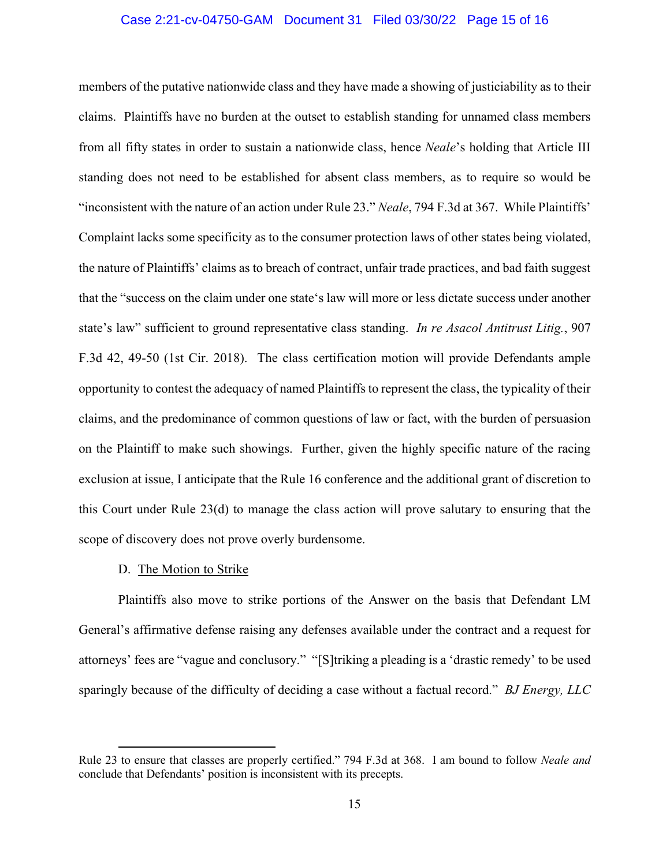### Case 2:21-cv-04750-GAM Document 31 Filed 03/30/22 Page 15 of 16

members of the putative nationwide class and they have made a showing of justiciability as to their claims. Plaintiffs have no burden at the outset to establish standing for unnamed class members from all fifty states in order to sustain a nationwide class, hence *Neale*'s holding that Article III standing does not need to be established for absent class members, as to require so would be "inconsistent with the nature of an action under Rule 23." *Neale*, 794 F.3d at 367. While Plaintiffs' Complaint lacks some specificity as to the consumer protection laws of other states being violated, the nature of Plaintiffs' claims as to breach of contract, unfair trade practices, and bad faith suggest that the "success on the claim under one state's law will more or less dictate success under another state's law" sufficient to ground representative class standing. *In re Asacol Antitrust Litig.*, 907 F.3d 42, 49-50 (1st Cir. 2018). The class certification motion will provide Defendants ample opportunity to contest the adequacy of named Plaintiffs to represent the class, the typicality of their claims, and the predominance of common questions of law or fact, with the burden of persuasion on the Plaintiff to make such showings. Further, given the highly specific nature of the racing exclusion at issue, I anticipate that the Rule 16 conference and the additional grant of discretion to this Court under Rule 23(d) to manage the class action will prove salutary to ensuring that the scope of discovery does not prove overly burdensome.

### D. The Motion to Strike

Plaintiffs also move to strike portions of the Answer on the basis that Defendant LM General's affirmative defense raising any defenses available under the contract and a request for attorneys' fees are "vague and conclusory." "[S]triking a pleading is a 'drastic remedy' to be used sparingly because of the difficulty of deciding a case without a factual record." *BJ Energy, LLC* 

Rule 23 to ensure that classes are properly certified." 794 F.3d at 368. I am bound to follow *Neale and* conclude that Defendants' position is inconsistent with its precepts.